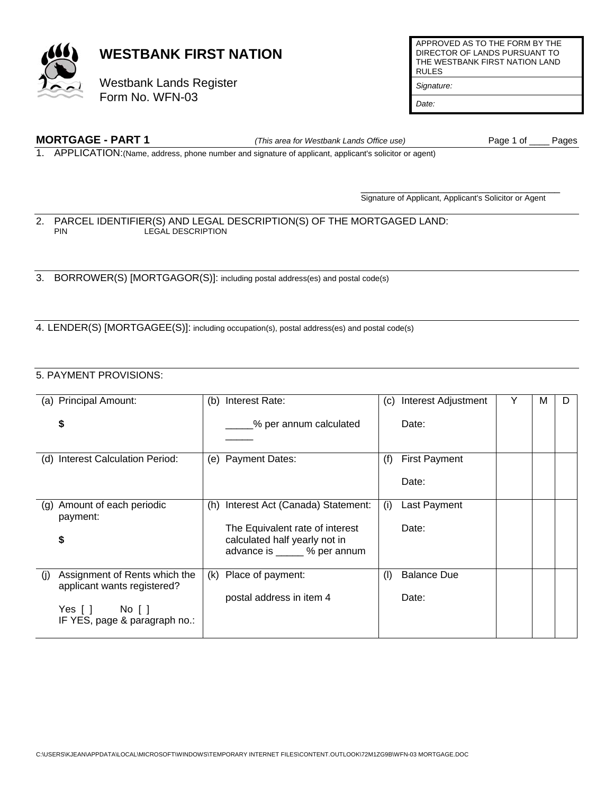

# **WESTBANK FIRST NATION**

Westbank Lands Register Form No. WFN-03

**MORTGAGE - PART 1** *(This area for Westbank Lands Office use)* Page 1 of \_\_\_\_ Pages

APPROVED AS TO THE FORM BY THE DIRECTOR OF LANDS PURSUANT TO THE WESTBANK FIRST NATION LAND RULES

*Signature:* 

*Date:* 

1. APPLICATION:(Name, address, phone number and signature of applicant, applicant's solicitor or agent)

 $\overline{\phantom{a}}$  , and the contract of the contract of the contract of the contract of the contract of the contract of the contract of the contract of the contract of the contract of the contract of the contract of the contrac Signature of Applicant, Applicant's Solicitor or Agent

#### 2. PARCEL IDENTIFIER(S) AND LEGAL DESCRIPTION(S) OF THE MORTGAGED LAND:<br>PIN LEGAL DESCRIPTION LEGAL DESCRIPTION

3. BORROWER(S) [MORTGAGOR(S)]: including postal address(es) and postal code(s)

4. LENDER(S) [MORTGAGEE(S)]: including occupation(s), postal address(es) and postal code(s)

### 5. PAYMENT PROVISIONS:

|     | (a) Principal Amount:                                                                                       | (b) | Interest Rate:                                                                                                                       | (C) | Interest Adjustment           | Y | м |  |
|-----|-------------------------------------------------------------------------------------------------------------|-----|--------------------------------------------------------------------------------------------------------------------------------------|-----|-------------------------------|---|---|--|
|     | \$                                                                                                          |     | % per annum calculated                                                                                                               |     | Date:                         |   |   |  |
|     | (d) Interest Calculation Period:                                                                            | (e) | <b>Payment Dates:</b>                                                                                                                | (f) | <b>First Payment</b><br>Date: |   |   |  |
|     | (g) Amount of each periodic<br>payment:<br>\$                                                               | (h) | Interest Act (Canada) Statement:<br>The Equivalent rate of interest<br>calculated half yearly not in<br>advance is _____ % per annum | (i) | Last Payment<br>Date:         |   |   |  |
| (i) | Assignment of Rents which the<br>applicant wants registered?<br>Yes[] No[]<br>IF YES, page & paragraph no.: | (k) | Place of payment:<br>postal address in item 4                                                                                        | (1) | <b>Balance Due</b><br>Date:   |   |   |  |